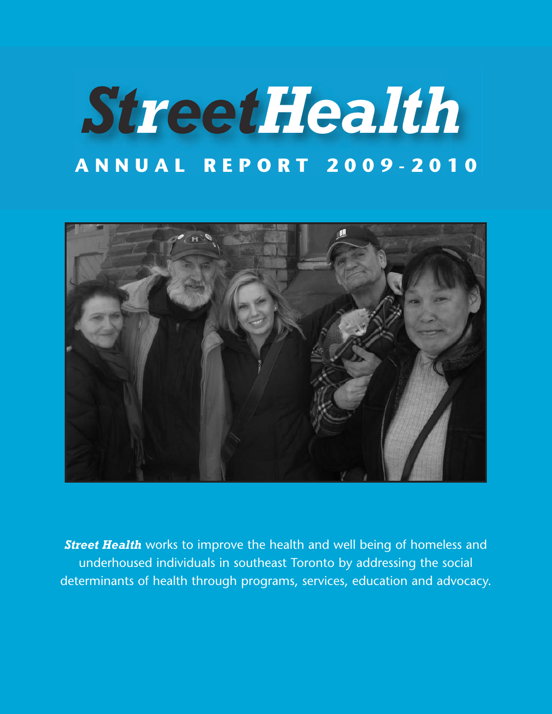# *StreetHealth* **A N N U A L R E P O R T 2 0 0 9 - 2 0 1 0**



*Street Health* works to improve the health and well being of homeless and underhoused individuals in southeast Toronto by addressing the social determinants of health through programs, services, education and advocacy.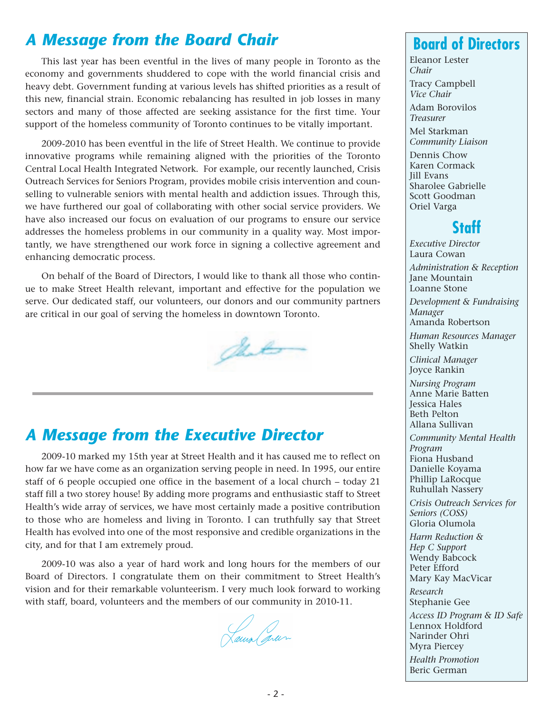## *A Message from the Board Chair*

This last year has been eventful in the lives of many people in Toronto as the economy and governments shuddered to cope with the world financial crisis and heavy debt. Government funding at various levels has shifted priorities as a result of this new, financial strain. Economic rebalancing has resulted in job losses in many sectors and many of those affected are seeking assistance for the first time. Your support of the homeless community of Toronto continues to be vitally important.

2009-2010 has been eventful in the life of Street Health. We continue to provide innovative programs while remaining aligned with the priorities of the Toronto Central Local Health Integrated Network. For example, our recently launched, Crisis Outreach Services for Seniors Program, provides mobile crisis intervention and counselling to vulnerable seniors with mental health and addiction issues. Through this, we have furthered our goal of collaborating with other social service providers. We have also increased our focus on evaluation of our programs to ensure our service addresses the homeless problems in our community in a quality way. Most importantly, we have strengthened our work force in signing a collective agreement and enhancing democratic process.

On behalf of the Board of Directors, I would like to thank all those who continue to make Street Health relevant, important and effective for the population we serve. Our dedicated staff, our volunteers, our donors and our community partners are critical in our goal of serving the homeless in downtown Toronto.

## det

## *A Message from the Executive Director*

2009-10 marked my 15th year at Street Health and it has caused me to reflect on how far we have come as an organization serving people in need. In 1995, our entire staff of 6 people occupied one office in the basement of a local church – today 21 staff fill a two storey house! By adding more programs and enthusiastic staff to Street Health's wide array of services, we have most certainly made a positive contribution to those who are homeless and living in Toronto. I can truthfully say that Street Health has evolved into one of the most responsive and credible organizations in the city, and for that I am extremely proud.

2009-10 was also a year of hard work and long hours for the members of our Board of Directors. I congratulate them on their commitment to Street Health's vision and for their remarkable volunteerism. I very much look forward to working with staff, board, volunteers and the members of our community in 2010-11.

Laura sur

## **Board of Directors**

Eleanor Lester *Chair*

Tracy Campbell *Vice Chair*

Adam Borovilos *Treasurer*

Mel Starkman *Community Liaison*

Dennis Chow Karen Cormack Jill Evans Sharolee Gabrielle Scott Goodman Oriel Varga

## **Staff**

*Executive Director* Laura Cowan *Administration & Reception* Jane Mountain Loanne Stone *Development & Fundraising Manager* Amanda Robertson *Human Resources Manager* Shelly Watkin *Clinical Manager* Joyce Rankin *Nursing Program* Anne Marie Batten Jessica Hales Beth Pelton Allana Sullivan *Community Mental Health Program* Fiona Husband Danielle Koyama

Phillip LaRocque Ruhullah Nassery

*Crisis Outreach Services for Seniors (COSS)* Gloria Olumola

*Harm Reduction & Hep C Support* Wendy Babcock Peter Efford Mary Kay MacVicar

*Research* Stephanie Gee

*Access ID Program & ID Safe* Lennox Holdford Narinder Ohri Myra Piercey *Health Promotion*

Beric German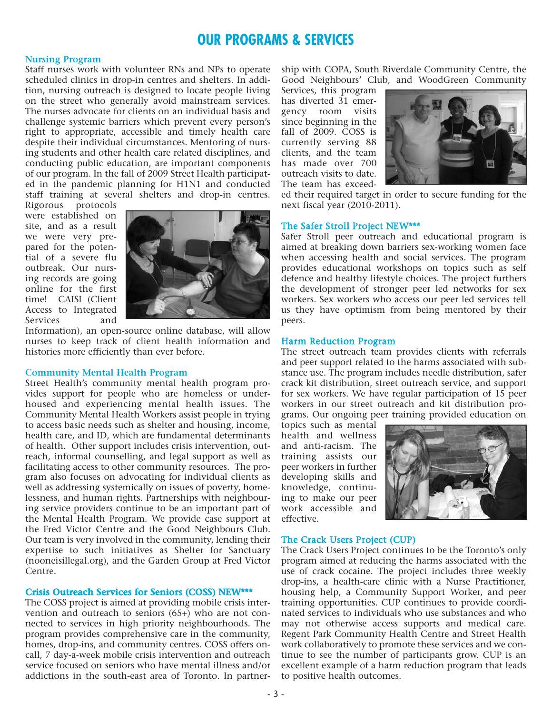### **OUR PROGRAMS & SERVICES**

#### **Nursing Program**

Staff nurses work with volunteer RNs and NPs to operate scheduled clinics in drop-in centres and shelters. In addition, nursing outreach is designed to locate people living on the street who generally avoid mainstream services. The nurses advocate for clients on an individual basis and challenge systemic barriers which prevent every person's right to appropriate, accessible and timely health care despite their individual circumstances. Mentoring of nursing students and other health care related disciplines, and conducting public education, are important components of our program. In the fall of 2009 Street Health participated in the pandemic planning for H1N1 and conducted staff training at several shelters and drop-in centres.

Rigorous protocols were established on site, and as a result we were very prepared for the potential of a severe flu outbreak. Our nursing records are going online for the first time! CAISI (Client Access to Integrated Services and



Information), an open-source online database, will allow nurses to keep track of client health information and histories more efficiently than ever before.

#### **Community Mental Health Program**

Street Health's community mental health program provides support for people who are homeless or underhoused and experiencing mental health issues. The Community Mental Health Workers assist people in trying to access basic needs such as shelter and housing, income, health care, and ID, which are fundamental determinants of health. Other support includes crisis intervention, outreach, informal counselling, and legal support as well as facilitating access to other community resources. The program also focuses on advocating for individual clients as well as addressing systemically on issues of poverty, homelessness, and human rights. Partnerships with neighbouring service providers continue to be an important part of the Mental Health Program. We provide case support at the Fred Victor Centre and the Good Neighbours Club. Our team is very involved in the community, lending their expertise to such initiatives as Shelter for Sanctuary (nooneisillegal.org), and the Garden Group at Fred Victor Centre.

#### **Crisis Outreach Services for Seniors (COSS) NEW\*\*\***

The COSS project is aimed at providing mobile crisis intervention and outreach to seniors  $(65+)$  who are not connected to services in high priority neighbourhoods. The program provides comprehensive care in the community, homes, drop-ins, and community centres. COSS offers oncall, 7 day-a-week mobile crisis intervention and outreach service focused on seniors who have mental illness and/or addictions in the south-east area of Toronto. In partnership with COPA, South Riverdale Community Centre, the Good Neighbours' Club, and WoodGreen Community

Services, this program has diverted 31 emergency room visits since beginning in the fall of 2009. COSS is currently serving 88 clients, and the team has made over 700 outreach visits to date. The team has exceed-



ed their required target in order to secure funding for the next fiscal year (2010-2011).

#### The Safer Stroll Project NEW\*\*\*

Safer Stroll peer outreach and educational program is aimed at breaking down barriers sex-working women face when accessing health and social services. The program provides educational workshops on topics such as self defence and healthy lifestyle choices. The project furthers the development of stronger peer led networks for sex workers. Sex workers who access our peer led services tell us they have optimism from being mentored by their peers.

#### Harm Reduction Program

The street outreach team provides clients with referrals and peer support related to the harms associated with substance use. The program includes needle distribution, safer crack kit distribution, street outreach service, and support for sex workers. We have regular participation of 15 peer workers in our street outreach and kit distribution programs. Our ongoing peer training provided education on

topics such as mental health and wellness and anti-racism. The training assists our peer workers in further developing skills and knowledge, continuing to make our peer work accessible and effective.



#### The Crack Users Project (CUP)

The Crack Users Project continues to be the Toronto's only program aimed at reducing the harms associated with the use of crack cocaine. The project includes three weekly drop-ins, a health-care clinic with a Nurse Practitioner, housing help, a Community Support Worker, and peer training opportunities. CUP continues to provide coordinated services to individuals who use substances and who may not otherwise access supports and medical care. Regent Park Community Health Centre and Street Health work collaboratively to promote these services and we continue to see the number of participants grow. CUP is an excellent example of a harm reduction program that leads to positive health outcomes.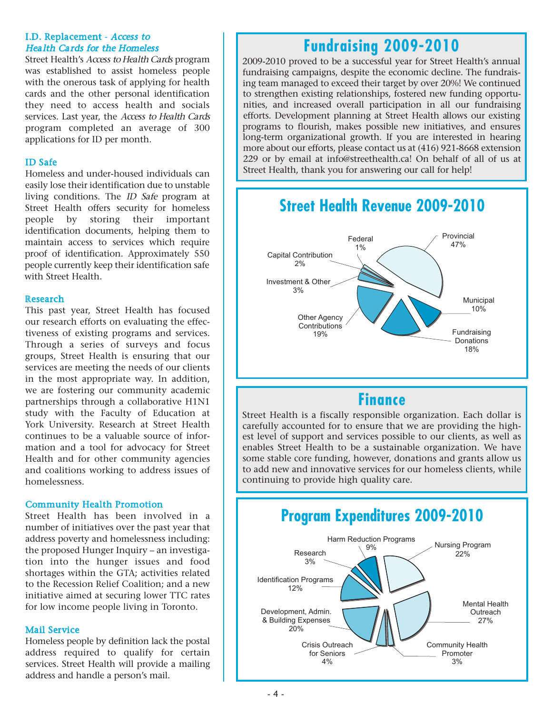#### I.D. Replacement - Access to Health Cards for the Homeless

Street Health's Access to Health Cards program was established to assist homeless people with the onerous task of applying for health cards and the other personal identification they need to access health and socials services. Last year, the Access to Health Cards program completed an average of 300 applications for ID per month.

#### ID Safe

Homeless and under-housed individuals can easily lose their identification due to unstable living conditions. The ID Safe program at Street Health offers security for homeless people by storing their important identification documents, helping them to maintain access to services which require proof of identification. Approximately 550 people currently keep their identification safe with Street Health.

#### Research

This past year, Street Health has focused our research efforts on evaluating the effectiveness of existing programs and services. Through a series of surveys and focus groups, Street Health is ensuring that our services are meeting the needs of our clients in the most appropriate way. In addition, we are fostering our community academic partnerships through a collaborative H1N1 study with the Faculty of Education at York University. Research at Street Health continues to be a valuable source of information and a tool for advocacy for Street Health and for other community agencies and coalitions working to address issues of homelessness.

#### Community Health Promotion

Street Health has been involved in a number of initiatives over the past year that address poverty and homelessness including: the proposed Hunger Inquiry – an investigation into the hunger issues and food shortages within the GTA; activities related to the Recession Relief Coalition; and a new initiative aimed at securing lower TTC rates for low income people living in Toronto.

#### Mail Service

Homeless people by definition lack the postal address required to qualify for certain services. Street Health will provide a mailing address and handle a person's mail.

#### ֖֖֖֖֖֖֖֖֖֖֖֖֖֖֧ׅ֖֖֖֖֧֚֚֚֚֚֚֚֚֚֚֚֚֚֚֚֚֚֚֚֚֚֚֚֚֚֚֚֚֚֚֚֚֚֚֚֬֝֝֝ 12% **Fundraising 2009-2010**

Identification Programs

l fundraising campaigns, despite the economic decline. The fundrais- - 20% ing team managed to exceed their target by over 20%! We continued to strengthen existing relationships, fostered new funding opportu-2009-2010 proved to be a successful year for Street Health's annual nities, and increased overall participation in all our fundraising efforts. Development planning at Street Health allows our existing programs to flourish, makes possible new initiatives, and ensures long-term organizational growth. If you are interested in hearing more about our efforts, please contact us at (416) 921-8668 extension 229 or by email at info@streethealth.ca! On behalf of all of us at Street Health, thank you for answering our call for help!



## **Finance**

Street Health is a fiscally responsible organization. Each dollar is carefully accounted for to ensure that we are providing the highest level of support and services possible to our clients, as well as enables Street Health to be a sustainable organization. We have some stable core funding, however, donations and grants allow us to add new and innovative services for our homeless clients, while continuing to provide high quality care.

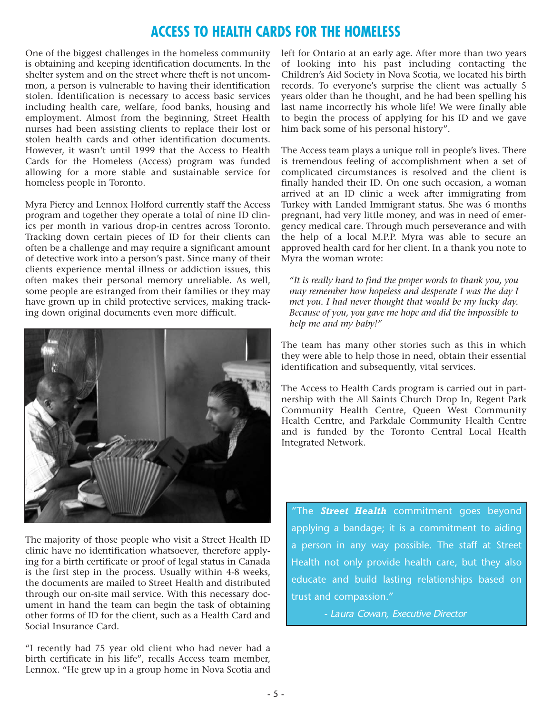## **ACCESS TO HEALTH CARDS FOR THE HOMELESS**

One of the biggest challenges in the homeless community is obtaining and keeping identification documents. In the shelter system and on the street where theft is not uncommon, a person is vulnerable to having their identification stolen. Identification is necessary to access basic services including health care, welfare, food banks, housing and employment. Almost from the beginning, Street Health nurses had been assisting clients to replace their lost or stolen health cards and other identification documents. However, it wasn't until 1999 that the Access to Health Cards for the Homeless (Access) program was funded allowing for a more stable and sustainable service for homeless people in Toronto.

Myra Piercy and Lennox Holford currently staff the Access program and together they operate a total of nine ID clinics per month in various drop-in centres across Toronto. Tracking down certain pieces of ID for their clients can often be a challenge and may require a significant amount of detective work into a person's past. Since many of their clients experience mental illness or addiction issues, this often makes their personal memory unreliable. As well, some people are estranged from their families or they may have grown up in child protective services, making tracking down original documents even more difficult.



The majority of those people who visit a Street Health ID clinic have no identification whatsoever, therefore applying for a birth certificate or proof of legal status in Canada is the first step in the process. Usually within 4-8 weeks, the documents are mailed to Street Health and distributed through our on-site mail service. With this necessary document in hand the team can begin the task of obtaining other forms of ID for the client, such as a Health Card and Social Insurance Card.

"I recently had 75 year old client who had never had a birth certificate in his life", recalls Access team member, Lennox. "He grew up in a group home in Nova Scotia and

left for Ontario at an early age. After more than two years of looking into his past including contacting the Children's Aid Society in Nova Scotia, we located his birth records. To everyone's surprise the client was actually 5 years older than he thought, and he had been spelling his last name incorrectly his whole life! We were finally able to begin the process of applying for his ID and we gave him back some of his personal history".

The Access team plays a unique roll in people's lives. There is tremendous feeling of accomplishment when a set of complicated circumstances is resolved and the client is finally handed their ID. On one such occasion, a woman arrived at an ID clinic a week after immigrating from Turkey with Landed Immigrant status. She was 6 months pregnant, had very little money, and was in need of emergency medical care. Through much perseverance and with the help of a local M.P.P. Myra was able to secure an approved health card for her client. In a thank you note to Myra the woman wrote:

*"It is really hard to find the proper words to thank you, you may remember how hopeless and desperate I was the day I met you. I had never thought that would be my lucky day. Because of you, you gave me hope and did the impossible to help me and my baby!"*

The team has many other stories such as this in which they were able to help those in need, obtain their essential identification and subsequently, vital services.

The Access to Health Cards program is carried out in partnership with the All Saints Church Drop In, Regent Park Community Health Centre, Queen West Community Health Centre, and Parkdale Community Health Centre and is funded by the Toronto Central Local Health Integrated Network.

"The *Street Health* commitment goes beyond applying a bandage; it is a commitment to aiding a person in any way possible. The staff at Street Health not only provide health care, but they also educate and build lasting relationships based on trust and compassion."

- Laura Cowan, Executive Director